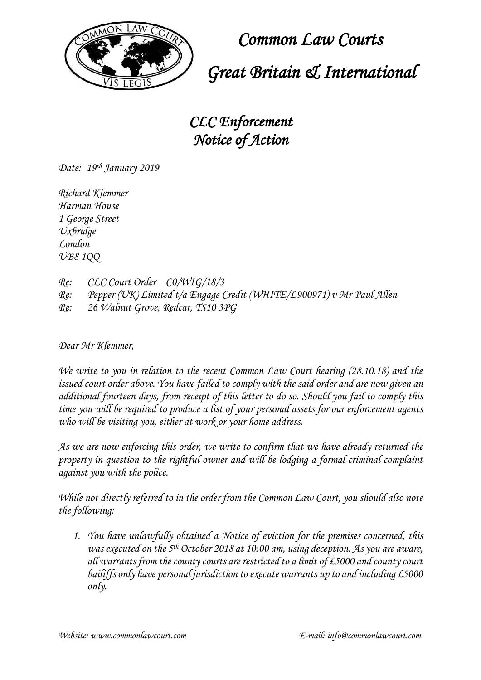

 *Common Law Courts*

 *Great Britain & International*

*CLC Enforcement Notice of Action*

*Date: 19 th January 2019*

*Richard Klemmer Harman House 1 George Street Uxbridge London UB8 1QQ*

*Re: CLC Court Order C0/WIG/18/3 Re: Pepper (UK) Limited t/a Engage Credit (WHITE/L900971) v Mr Paul Allen Re: 26 Walnut Grove, Redcar, TS10 3PG*

*Dear Mr Klemmer,* 

*We write to you in relation to the recent Common Law Court hearing (28.10.18) and the issued court order above. You have failed to comply with the said order and are now given an additional fourteen days, from receipt of this letter to do so. Should you fail to comply this time you will be required to produce a list of your personal assets for our enforcement agents who will be visiting you, either at work or your home address.* 

*As we are now enforcing this order, we write to confirm that we have already returned the property in question to the rightful owner and will be lodging a formal criminal complaint against you with the police.*

*While not directly referred to in the order from the Common Law Court, you should also note the following:* 

*1. You have unlawfully obtained a Notice of eviction for the premises concerned, this was executed on the 5th October 2018 at 10:00 am, using deception. As you are aware, all warrants from the county courts are restricted to a limit of £5000 and county court bailiffs only have personal jurisdiction to execute warrants up to and including £5000 only.*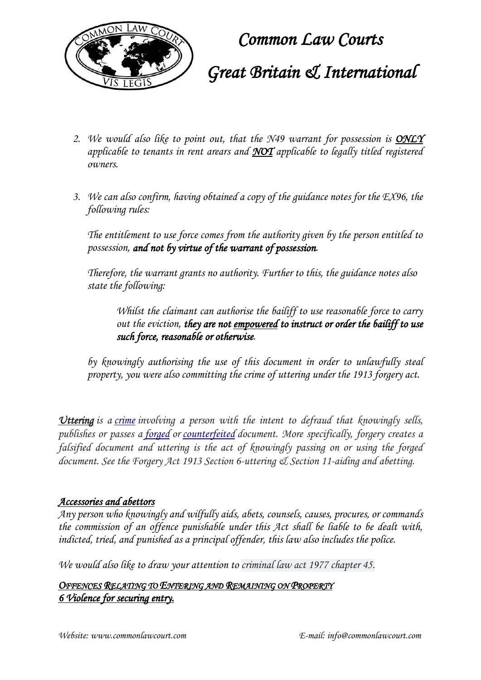

 *Common Law Courts*

## *Great Britain & International*

- *2. We would also like to point out, that the N49 warrant for possession is ONLY applicable to tenants in rent arears and NOT applicable to legally titled registered owners.*
- *3. We can also confirm, having obtained a copy of the guidance notes for the EX96, the following rules:*

*The entitlement to use force comes from the authority given by the person entitled to possession, and not by virtue of the warrant of possession.*

*Therefore, the warrant grants no authority. Further to this, the guidance notes also state the following:*

*Whilst the claimant can authorise the bailiff to use reasonable force to carry out the eviction, they are not empowered to instruct or order the bailiff to use such force, reasonable or otherwise.*

*by knowingly authorising the use of this document in order to unlawfully steal property, you were also committing the crime of uttering under the 1913 forgery act.*

*Uttering is a [crime](https://en.wikipedia.org/wiki/Crime) involving a person with the intent to defraud that knowingly sells, publishes or passes a [forged](https://en.wikipedia.org/wiki/Forgery) or [counterfeited](https://en.wikipedia.org/wiki/Counterfeit) document. More specifically, forgery creates a falsified document and uttering is the act of knowingly passing on or using the forged document. See the Forgery Act 1913 Section 6-uttering & Section 11-aiding and abetting.*

#### *Accessories and abettors*

*Any person who knowingly and wilfully aids, abets, counsels, causes, procures, or commands the commission of an offence punishable under this Act shall be liable to be dealt with, indicted, tried, and punished as a principal offender, this law also includes the police.* 

*We would also like to draw your attention to criminal law act 1977 chapter 45.*

*OFFENCES RELATING TO ENTERING AND REMAINING ON PROPERTY 6 Violence for securing entry.*